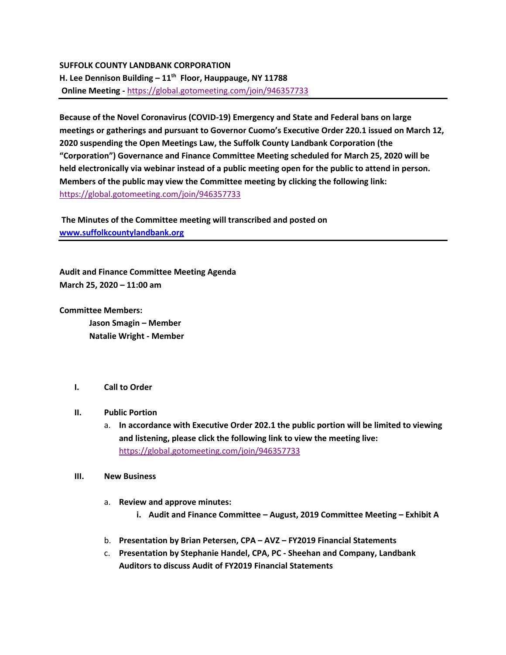## **SUFFOLK COUNTY LANDBANK CORPORATION H. Lee Dennison Building – 11th Floor, Hauppauge, NY 11788 Online Meeting -** [https://global.gotomeeting.com/join/946357733](https://webmail.suffolkcountyny.gov/owa/redir.aspx?C=G0xdCTzdVXfQmtA7DfQhSox5vMbVBeGF34NL6_F8gtr7-a3uSMvXCA..&URL=https%3a%2f%2fglobal.gotomeeting.com%2fjoin%2f946357733)

**Because of the Novel Coronavirus (COVID-19) Emergency and State and Federal bans on large meetings or gatherings and pursuant to Governor Cuomo's Executive Order 220.1 issued on March 12, 2020 suspending the Open Meetings Law, the Suffolk County Landbank Corporation (the "Corporation") Governance and Finance Committee Meeting scheduled for March 25, 2020 will be held electronically via webinar instead of a public meeting open for the public to attend in person. Members of the public may view the Committee meeting by clicking the following link:**  [https://global.gotomeeting.com/join/946357733](https://webmail.suffolkcountyny.gov/owa/redir.aspx?C=G0xdCTzdVXfQmtA7DfQhSox5vMbVBeGF34NL6_F8gtr7-a3uSMvXCA..&URL=https%3a%2f%2fglobal.gotomeeting.com%2fjoin%2f946357733)

**The Minutes of the Committee meeting will transcribed and posted on [www.suffolkcountylandbank.org](http://www.suffolkcountylandbank.org/)**

**Audit and Finance Committee Meeting Agenda March 25, 2020 – 11:00 am**

**Committee Members:**

**Jason Smagin – Member Natalie Wright - Member**

## **I. Call to Order**

- **II. Public Portion**
	- a. **In accordance with Executive Order 202.1 the public portion will be limited to viewing and listening, please click the following link to view the meeting live:**  [https://global.gotomeeting.com/join/946357733](https://webmail.suffolkcountyny.gov/owa/redir.aspx?C=G0xdCTzdVXfQmtA7DfQhSox5vMbVBeGF34NL6_F8gtr7-a3uSMvXCA..&URL=https%3a%2f%2fglobal.gotomeeting.com%2fjoin%2f946357733)
- **III. New Business**
	- a. **Review and approve minutes:** 
		- **i. Audit and Finance Committee – August, 2019 Committee Meeting – Exhibit A**
	- b. **Presentation by Brian Petersen, CPA – AVZ – FY2019 Financial Statements**
	- c. **Presentation by Stephanie Handel, CPA, PC - Sheehan and Company, Landbank Auditors to discuss Audit of FY2019 Financial Statements**